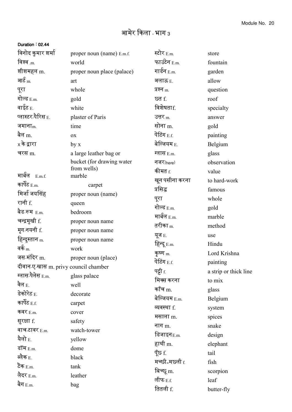## Duration : 02.44

| विनोद कुमार शर्मा                         | proper noun (name) E.m.f.  | स्टोर E.m.              | store                 |
|-------------------------------------------|----------------------------|-------------------------|-----------------------|
| विश्व $_{\rm.m.}$                         | world                      | फाउंटेन E.m.            | fountain              |
| शीशमहल m.                                 | proper noun place (palace) | गार्डन $_{E.m.}$        | garden                |
| आ $\mathbf{\hat{\epsilon}}_{\rm m}$       | art                        | अलाऊ E.                 | allow                 |
| पूरा                                      | whole                      | प्रश्न <sub>m.</sub>    | question              |
| गोल्ड $_{\rm E.m.}$                       | gold                       | <u>छत f.</u>            | roof                  |
| वाईट $_{\rm E.}$                          | white                      | विशेषताf.               | specialty             |
| प्लास्टर <sub>-</sub> पैरिस <sub>E.</sub> | plaster of Paris           | उत्तर $m$               | answer                |
| जमाना $m$                                 | time                       | सोना m.                 | gold                  |
| बैल m.                                    | OX                         | पेंटिंग $_{\rm E.f.}$   | painting              |
| x के द्वारा                               | by x                       | बेल्जियम E.             | Belgium               |
| चरस m.                                    | a large leather bag or     | ग्लास $_{\rm E.m.}$     | glass                 |
|                                           | bucket (for drawing water  | नजर(here)               | observation           |
|                                           | from wells)                | कीमत <sub>f.</sub>      | value                 |
| मार्बल $E.m.f.$<br>कार्पेट $_{\rm E.m.}$  | marble                     | खून पसीना करना          | to hard-work          |
|                                           | carpet                     | प्रसिद्ध                | famous                |
| मिर्जा जयसिंह                             | proper noun (name)         | पूरा                    | whole                 |
| रानी f.                                   | queen                      | गोल्ड $_{\rm E.m.}$     | gold                  |
| बैड-रूम $_{\rm E.m.}$                     | bedroom                    | मार्बल $_{\rm E.m.}$    | marble                |
| चन्द्रमुखी f.                             | proper noun name           | तरीका <sub>m.</sub>     | method                |
| मृग-नयनी f.                               | proper noun name           | यूज $E$ .               | use                   |
| हिन्दुस्तान m.                            | proper noun name           | हिन्दू E.m.             | Hindu                 |
| वर्क $_{\rm m}$                           | work                       | कृष्ण $m$               | Lord Krishna          |
| जस-मंदिर m.                               | proper noun (place)        | पेंटिंग $_{\rm E.f.}$   | painting              |
| दीवान-ए-खास m. privy council chamber      |                            | पट्टी <sub>f.</sub>     | a strip or thick line |
| ग्लास-पैलेस <sub>E.m.</sub>               | glass palace               | मिक्स करना              | to mix                |
| वेल $_{\rm E.}$                           | well                       | कॉंच $m$ .              | glass                 |
| डेकोरेट <sub>E.</sub>                     | decorate                   | बेल्जियम $E.m.$         | Belgium               |
| कार्पेट $_{\rm E.f.}$                     | carpet                     | व्यवस्था f.             | system                |
| कवर $_{E.m.}$                             | cover                      | मसाला <sub>m.</sub>     | spices                |
| सुरक्षा f.                                | safety                     | नाग $m$ .               | snake                 |
| वाच-टावर $_{E.m.}$                        | watch-tower                | डिजाइन $_{\text{E.m.}}$ | design                |
| यैलो $_{\rm E.}$                          | yellow                     | हाथी m.                 | elephant              |
| डॉम <sub>E.m.</sub>                       | dome                       | पूँछ f.                 | tail                  |
| ब्लैक $_{\rm E.}$                         | black                      | मच्छी=मछली f.           | fish                  |
| टैंक $_{\rm E.m.}$                        | tank                       | बिच्छू m.               |                       |
| लैदर <sub>E.m.</sub>                      | leather                    | लीफ $_{\rm E.f.}$       | scorpion<br>leaf      |
| बैग $_{\rm E.m.}$                         | bag                        |                         |                       |
|                                           |                            | तितली f.                | butter-fly            |